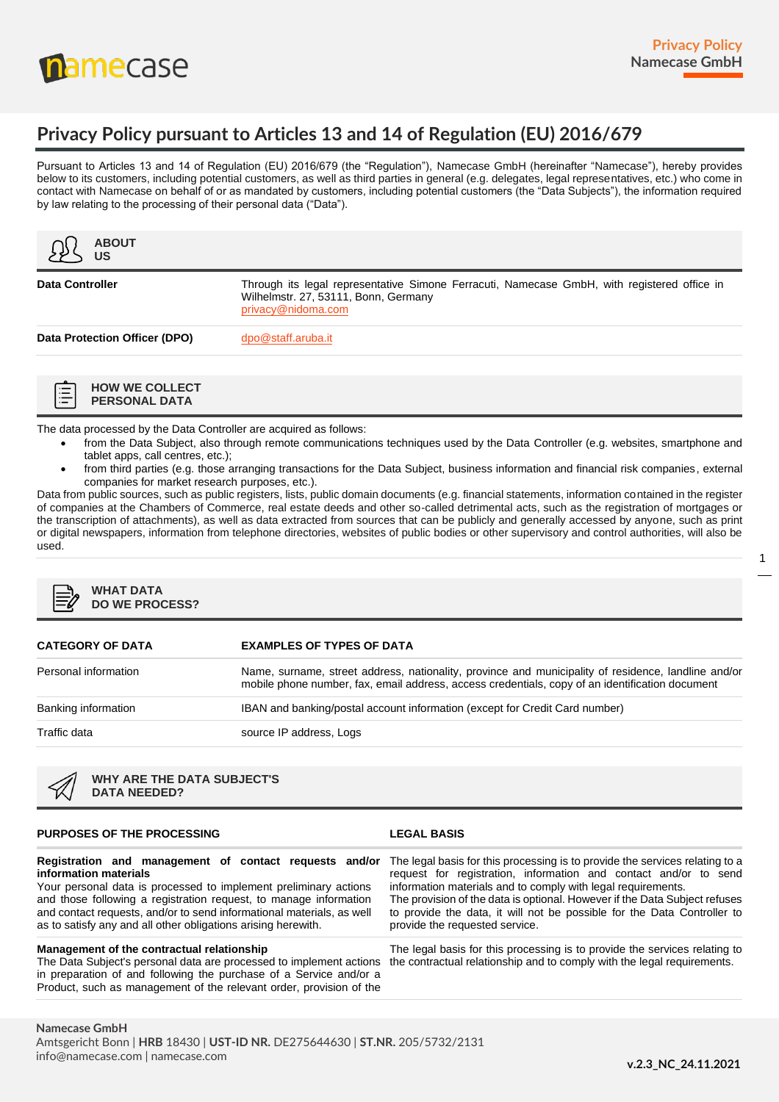

1

# **Privacy Policy pursuant to Articles 13 and 14 of Regulation (EU) 2016/679**

Pursuant to Articles 13 and 14 of Regulation (EU) 2016/679 (the "Regulation"), Namecase GmbH (hereinafter "Namecase"), hereby provides below to its customers, including potential customers, as well as third parties in general (e.g. delegates, legal representatives, etc.) who come in contact with Namecase on behalf of or as mandated by customers, including potential customers (the "Data Subjects"), the information required by law relating to the processing of their personal data ("Data").



- The data processed by the Data Controller are acquired as follows:
	- from the Data Subject, also through remote communications techniques used by the Data Controller (e.g. websites, smartphone and tablet apps, call centres, etc.);
	- from third parties (e.g. those arranging transactions for the Data Subject, business information and financial risk companies, external companies for market research purposes, etc.).

Data from public sources, such as public registers, lists, public domain documents (e.g. financial statements, information contained in the register of companies at the Chambers of Commerce, real estate deeds and other so-called detrimental acts, such as the registration of mortgages or the transcription of attachments), as well as data extracted from sources that can be publicly and generally accessed by anyone, such as print or digital newspapers, information from telephone directories, websites of public bodies or other supervisory and control authorities, will also be used.



**WHAT DATA DO WE PROCESS?** 

| <b>CATEGORY OF DATA</b> | <b>EXAMPLES OF TYPES OF DATA</b>                                                                                                                                                                       |
|-------------------------|--------------------------------------------------------------------------------------------------------------------------------------------------------------------------------------------------------|
| Personal information    | Name, surname, street address, nationality, province and municipality of residence, landline and/or<br>mobile phone number, fax, email address, access credentials, copy of an identification document |
| Banking information     | IBAN and banking/postal account information (except for Credit Card number)                                                                                                                            |
| Traffic data            | source IP address, Logs                                                                                                                                                                                |



**WHY ARE THE DATA SUBJECT'S DATA NEEDED?**

#### **PURPOSES OF THE PROCESSING LEGAL BASIS**

|                       | Registration and management of contact requests and/or |  |  |
|-----------------------|--------------------------------------------------------|--|--|
| information materials |                                                        |  |  |

Your personal data is processed to implement preliminary actions and those following a registration request, to manage information and contact requests, and/or to send informational materials, as well as to satisfy any and all other obligations arising herewith.

## **Management of the contractual relationship**

The Data Subject's personal data are processed to implement actions in preparation of and following the purchase of a Service and/or a Product, such as management of the relevant order, provision of the

The legal basis for this processing is to provide the services relating to a request for registration, information and contact and/or to send information materials and to comply with legal requirements. The provision of the data is optional. However if the Data Subject refuses to provide the data, it will not be possible for the Data Controller to provide the requested service.

The legal basis for this processing is to provide the services relating to the contractual relationship and to comply with the legal requirements.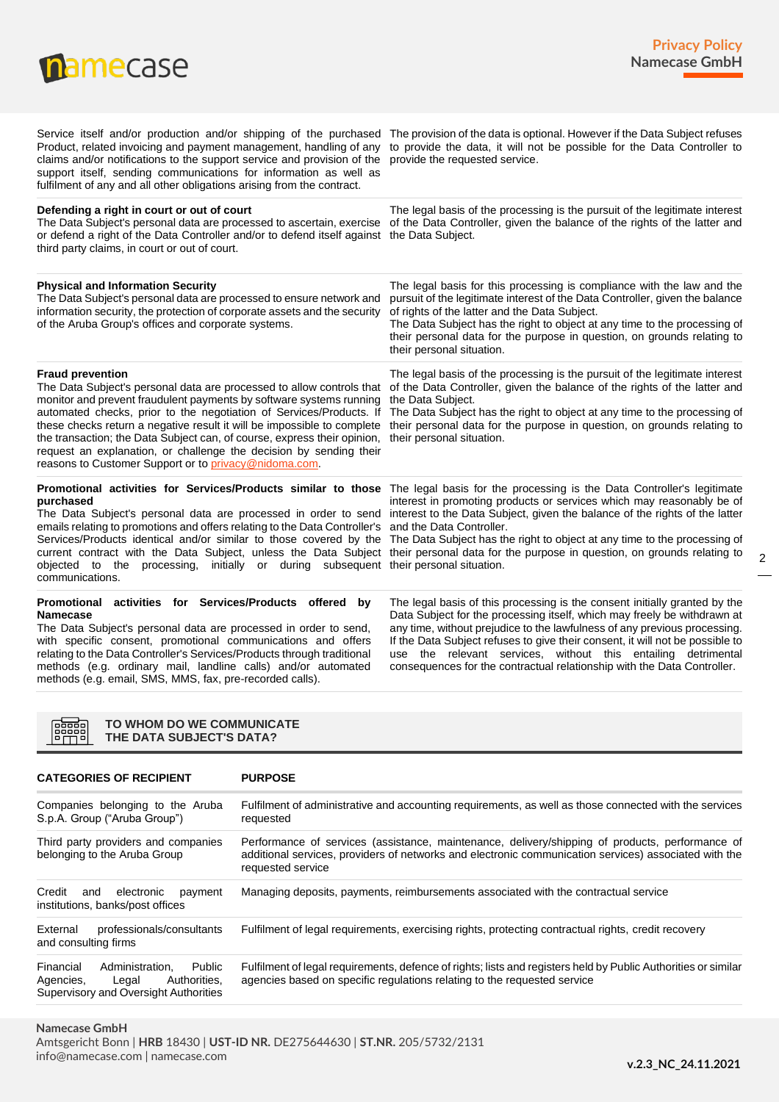

2

Service itself and/or production and/or shipping of the purchased The provision of the data is optional. However if the Data Subject refuses claims and/or notifications to the support service and provision of the provide the requested service. support itself, sending communications for information as well as fulfilment of any and all other obligations arising from the contract.

Product, related invoicing and payment management, handling of any to provide the data, it will not be possible for the Data Controller to

| Defending a right in court or out of court<br>The Data Subject's personal data are processed to ascertain, exercise<br>or defend a right of the Data Controller and/or to defend itself against the Data Subject.<br>third party claims, in court or out of court.                                                                                                                                                                                                                                                                   | The legal basis of the processing is the pursuit of the legitimate interest<br>of the Data Controller, given the balance of the rights of the latter and                                                                                                                                                                                                                                                                                                                                                                                                                                                                                                |  |  |
|--------------------------------------------------------------------------------------------------------------------------------------------------------------------------------------------------------------------------------------------------------------------------------------------------------------------------------------------------------------------------------------------------------------------------------------------------------------------------------------------------------------------------------------|---------------------------------------------------------------------------------------------------------------------------------------------------------------------------------------------------------------------------------------------------------------------------------------------------------------------------------------------------------------------------------------------------------------------------------------------------------------------------------------------------------------------------------------------------------------------------------------------------------------------------------------------------------|--|--|
| <b>Physical and Information Security</b><br>The Data Subject's personal data are processed to ensure network and<br>information security, the protection of corporate assets and the security<br>of the Aruba Group's offices and corporate systems.                                                                                                                                                                                                                                                                                 | The legal basis for this processing is compliance with the law and the<br>pursuit of the legitimate interest of the Data Controller, given the balance<br>of rights of the latter and the Data Subject.<br>The Data Subject has the right to object at any time to the processing of<br>their personal data for the purpose in question, on grounds relating to<br>their personal situation.                                                                                                                                                                                                                                                            |  |  |
| <b>Fraud prevention</b><br>The Data Subject's personal data are processed to allow controls that<br>monitor and prevent fraudulent payments by software systems running<br>automated checks, prior to the negotiation of Services/Products. If<br>these checks return a negative result it will be impossible to complete<br>the transaction; the Data Subject can, of course, express their opinion,<br>request an explanation, or challenge the decision by sending their<br>reasons to Customer Support or to privacy@nidoma.com. | The legal basis of the processing is the pursuit of the legitimate interest<br>of the Data Controller, given the balance of the rights of the latter and<br>the Data Subject.<br>The Data Subject has the right to object at any time to the processing of<br>their personal data for the purpose in question, on grounds relating to<br>their personal situation.                                                                                                                                                                                                                                                                                      |  |  |
| purchased<br>emails relating to promotions and offers relating to the Data Controller's and the Data Controller.<br>objected to the processing, initially or during subsequent their personal situation.<br>communications.                                                                                                                                                                                                                                                                                                          | Promotional activities for Services/Products similar to those The legal basis for the processing is the Data Controller's legitimate<br>interest in promoting products or services which may reasonably be of<br>The Data Subject's personal data are processed in order to send interest to the Data Subject, given the balance of the rights of the latter<br>Services/Products identical and/or similar to those covered by the The Data Subject has the right to object at any time to the processing of<br>current contract with the Data Subject, unless the Data Subject their personal data for the purpose in question, on grounds relating to |  |  |
| Promotional activities for Services/Products offered by<br><b>Namecase</b><br>The Data Subject's personal data are processed in order to send,<br>with specific consent, promotional communications and offers<br>relating to the Data Controller's Services/Products through traditional<br>methods (e.g. ordinary mail, landline calls) and/or automated                                                                                                                                                                           | The legal basis of this processing is the consent initially granted by the<br>Data Subject for the processing itself, which may freely be withdrawn at<br>any time, without prejudice to the lawfulness of any previous processing.<br>If the Data Subject refuses to give their consent, it will not be possible to<br>the relevant services, without this entailing detrimental<br>use<br>consequences for the contractual relationship with the Data Controller.                                                                                                                                                                                     |  |  |

#### **ender**<br>Engels **TO WHOM DO WE COMMUNICATE THE DATA SUBJECT'S DATA?**

methods (e.g. email, SMS, MMS, fax, pre-recorded calls).

methods (e.g. ordinary mail, landline calls) and/or automated

| <b>CATEGORIES OF RECIPIENT</b>                                                                                        | <b>PURPOSE</b>                                                                                                                                                                                                                |  |  |  |
|-----------------------------------------------------------------------------------------------------------------------|-------------------------------------------------------------------------------------------------------------------------------------------------------------------------------------------------------------------------------|--|--|--|
| Companies belonging to the Aruba<br>S.p.A. Group ("Aruba Group")                                                      | Fulfilment of administrative and accounting requirements, as well as those connected with the services<br>requested                                                                                                           |  |  |  |
| Third party providers and companies<br>belonging to the Aruba Group                                                   | Performance of services (assistance, maintenance, delivery/shipping of products, performance of<br>additional services, providers of networks and electronic communication services) associated with the<br>requested service |  |  |  |
| Credit<br>electronic<br>and<br>payment<br>institutions, banks/post offices                                            | Managing deposits, payments, reimbursements associated with the contractual service                                                                                                                                           |  |  |  |
| External<br>professionals/consultants<br>and consulting firms                                                         | Fulfilment of legal requirements, exercising rights, protecting contractual rights, credit recovery                                                                                                                           |  |  |  |
| Financial<br>Administration.<br>Public<br>Agencies,<br>Authorities.<br>Legal<br>Supervisory and Oversight Authorities | Fulfilment of legal requirements, defence of rights; lists and registers held by Public Authorities or similar<br>agencies based on specific regulations relating to the requested service                                    |  |  |  |

**Namecase GmbH** Amtsgericht Bonn | **HRB** 18430 | **UST-ID NR.** DE275644630 | **ST.NR.** 205/5732/2131 info@namecase.com | namecase.com